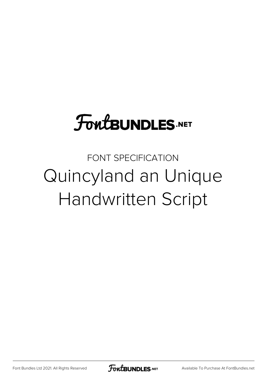## **FoutBUNDLES.NET**

FONT SPECIFICATION Quincyland an Unique Handwritten Script

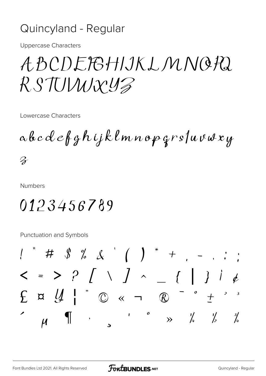## Quincyland - Regular

**Uppercase Characters** 

## ABCDEFGHIJKLMNOPQ RSTUWXYZ

Lowercase Characters

a b c d e f g h i j k l m n o p g r s /u v w x y  $\mathcal{Z}$ 

**Numbers** 

0123456789

Punctuation and Symbols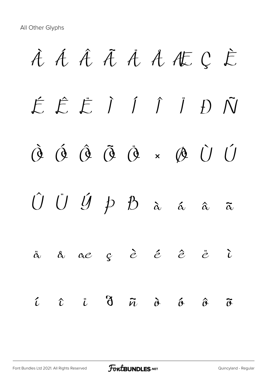À Á Â Ã Ä Å Æ Ç È É Ê Ë Ì Í Î Ï Ð Ñ Ò Ó Ô Õ Ö × Ø Ù Ú  $\hat{U}$   $\hat{U}$   $\hat{U}$   $\hat{p}$   $\hat{B}$   $\hat{\alpha}$   $\hat{\alpha}$   $\hat{\alpha}$   $\hat{\alpha}$ ä å æ ç è é ê ë ì  $\tilde{\iota}$   $\tilde{\iota}$   $\tilde{\iota}$   $\tilde{\sigma}$   $\tilde{\iota}$   $\tilde{\sigma}$   $\tilde{\sigma}$   $\tilde{\sigma}$   $\tilde{\sigma}$   $\tilde{\sigma}$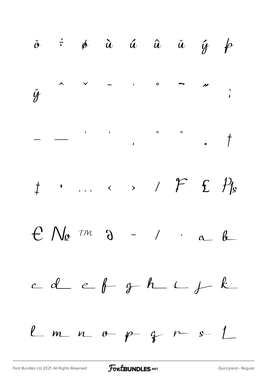

**FoutBUNDLES**.NET